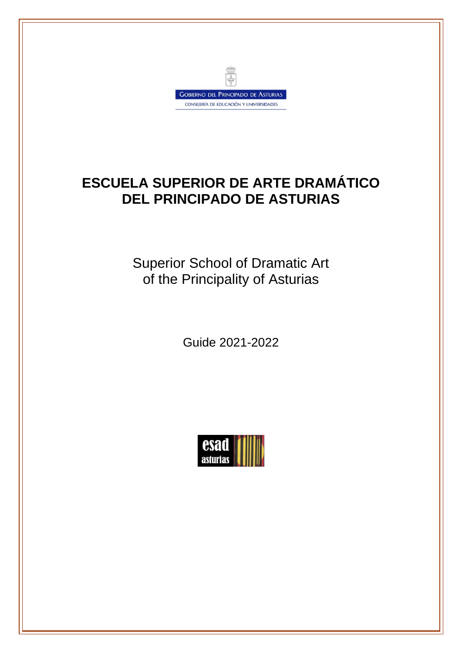

# **ESCUELA SUPERIOR DE ARTE DRAMÁTICO DEL PRINCIPADO DE ASTURIAS**

Superior School of Dramatic Art of the Principality of Asturias

Guide 2021-2022

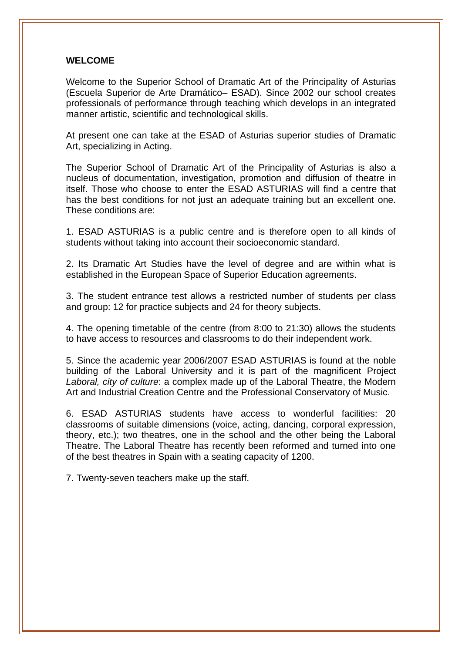#### **WELCOME**

Welcome to the Superior School of Dramatic Art of the Principality of Asturias (Escuela Superior de Arte Dramático– ESAD). Since 2002 our school creates professionals of performance through teaching which develops in an integrated manner artistic, scientific and technological skills.

At present one can take at the ESAD of Asturias superior studies of Dramatic Art, specializing in Acting.

The Superior School of Dramatic Art of the Principality of Asturias is also a nucleus of documentation, investigation, promotion and diffusion of theatre in itself. Those who choose to enter the ESAD ASTURIAS will find a centre that has the best conditions for not just an adequate training but an excellent one. These conditions are:

1. ESAD ASTURIAS is a public centre and is therefore open to all kinds of students without taking into account their socioeconomic standard.

2. Its Dramatic Art Studies have the level of degree and are within what is established in the European Space of Superior Education agreements.

3. The student entrance test allows a restricted number of students per class and group: 12 for practice subjects and 24 for theory subjects.

4. The opening timetable of the centre (from 8:00 to 21:30) allows the students to have access to resources and classrooms to do their independent work.

5. Since the academic year 2006/2007 ESAD ASTURIAS is found at the noble building of the Laboral University and it is part of the magnificent Project *Laboral, city of culture*: a complex made up of the Laboral Theatre, the Modern Art and Industrial Creation Centre and the Professional Conservatory of Music.

6. ESAD ASTURIAS students have access to wonderful facilities: 20 classrooms of suitable dimensions (voice, acting, dancing, corporal expression, theory, etc.); two theatres, one in the school and the other being the Laboral Theatre. The Laboral Theatre has recently been reformed and turned into one of the best theatres in Spain with a seating capacity of 1200.

7. Twenty-seven teachers make up the staff.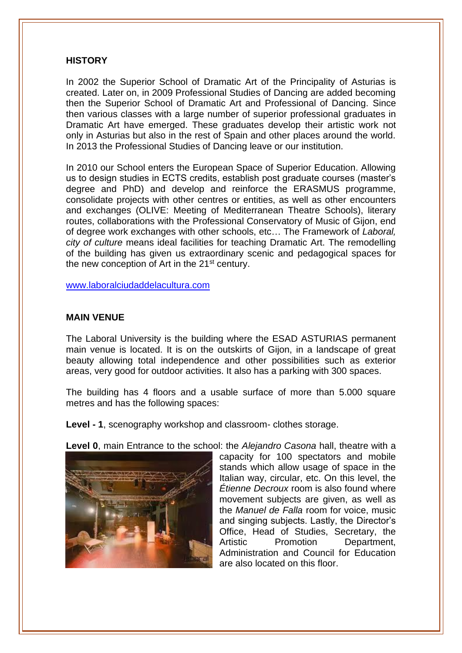#### **HISTORY**

In 2002 the Superior School of Dramatic Art of the Principality of Asturias is created. Later on, in 2009 Professional Studies of Dancing are added becoming then the Superior School of Dramatic Art and Professional of Dancing. Since then various classes with a large number of superior professional graduates in Dramatic Art have emerged. These graduates develop their artistic work not only in Asturias but also in the rest of Spain and other places around the world. In 2013 the Professional Studies of Dancing leave or our institution.

In 2010 our School enters the European Space of Superior Education. Allowing us to design studies in ECTS credits, establish post graduate courses (master's degree and PhD) and develop and reinforce the ERASMUS programme, consolidate projects with other centres or entities, as well as other encounters and exchanges (OLIVE: Meeting of Mediterranean Theatre Schools), literary routes, collaborations with the Professional Conservatory of Music of Gijon, end of degree work exchanges with other schools, etc… The Framework of *Laboral, city of culture* means ideal facilities for teaching Dramatic Art. The remodelling of the building has given us extraordinary scenic and pedagogical spaces for the new conception of Art in the  $21<sup>st</sup>$  century.

[www.laboralciudaddelacultura.com](http://www.laboralciudaddelacultura.com/)

#### **MAIN VENUE**

The Laboral University is the building where the ESAD ASTURIAS permanent main venue is located. It is on the outskirts of Gijon, in a landscape of great beauty allowing total independence and other possibilities such as exterior areas, very good for outdoor activities. It also has a parking with 300 spaces.

The building has 4 floors and a usable surface of more than 5.000 square metres and has the following spaces:

**Level - 1**, scenography workshop and classroom- clothes storage.



**Level 0**, main Entrance to the school: the *Alejandro Casona* hall, theatre with a

capacity for 100 spectators and mobile stands which allow usage of space in the Italian way, circular, etc. On this level, the *Étienne Decroux* room is also found where movement subjects are given, as well as the *Manuel de Falla* room for voice, music and singing subjects. Lastly, the Director's Office, Head of Studies, Secretary, the Artistic Promotion Department, Administration and Council for Education are also located on this floor.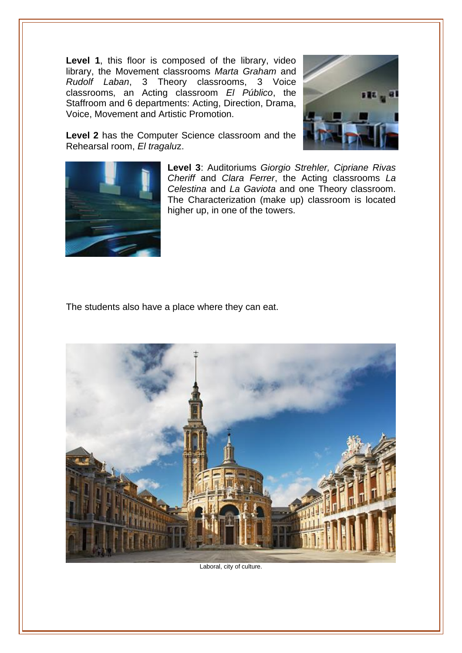Level 1, this floor is composed of the library, video library, the Movement classrooms *Marta Graham* and *Rudolf Laban*, 3 Theory classrooms, 3 Voice classrooms, an Acting classroom *El Público*, the Staffroom and 6 departments: Acting, Direction, Drama, Voice, Movement and Artistic Promotion.



**Level 2** has the Computer Science classroom and the Rehearsal room, *El tragalu*z.



**Level 3**: Auditoriums *Giorgio Strehler, Cipriane Rivas Cheriff* and *Clara Ferrer*, the Acting classrooms *La Celestina* and *La Gaviota* and one Theory classroom. The Characterization (make up) classroom is located higher up, in one of the towers.

The students also have a place where they can eat.



Laboral, city of culture.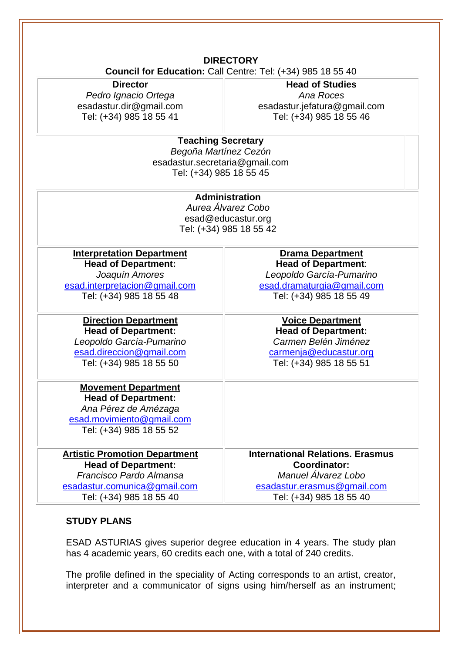#### **DIRECTORY Council for Education:** Call Centre: Tel: (+34) 985 18 55 40

**Director**

*Pedro Ignacio Ortega* esadastur.dir@gmail.com Tel: (+34) 985 18 55 41

**Head of Studies** *Ana Roces* esadastur.jefatura@gmail.com Tel: (+34) 985 18 55 46

## **Teaching Secretary**

*Begoña Martínez Cezón* esadastur.secretaria@gmail.com Tel: (+34) 985 18 55 45

## **Administration**

*Aurea Álvarez Cobo* esad@educastur.org Tel: (+34) 985 18 55 42

**Interpretation Department Head of Department:** *Joaquín Amores* [esad.interpretacion@gmail.com](mailto:esad.interpretacion@gmail.com) Tel: (+34) 985 18 55 48

**Direction Department Head of Department:** *Leopoldo García-Pumarino* [esad.direccion@gmail.com](mailto:esad.direccion@gmail.com)

Tel: (+34) 985 18 55 50

**Movement Department Head of Department:** *Ana Pérez de Amézaga* [esad.movimiento@gmail.com](mailto:esad.movimiento@gmail.com)

Tel: (+34) 985 18 55 52

**Artistic Promotion Department Head of Department:** *Francisco Pardo Almansa* [esadastur.comunica@gmail.com](mailto:esadasturiascomunicacion@gmail.com) Tel: (+34) 985 18 55 40

**Drama Department Head of Department**: *Leopoldo García-Pumarino* [esad.dramaturgia@gmail.com](mailto:esad.dramaturgia@gmail.com) Tel: (+34) 985 18 55 49

**Voice Department Head of Department:** *Carmen Belén Jiménez* [carmenja@educastur.org](mailto:carmenja@educastur.org) Tel: (+34) 985 18 55 51

**International Relations. Erasmus Coordinator:** *Manuel Álvarez Lobo* esadastur.erasmus@gmail.com Tel: (+34) 985 18 55 40

## **STUDY PLANS**

ESAD ASTURIAS gives superior degree education in 4 years. The study plan has 4 academic years, 60 credits each one, with a total of 240 credits.

The profile defined in the speciality of Acting corresponds to an artist, creator, interpreter and a communicator of signs using him/herself as an instrument;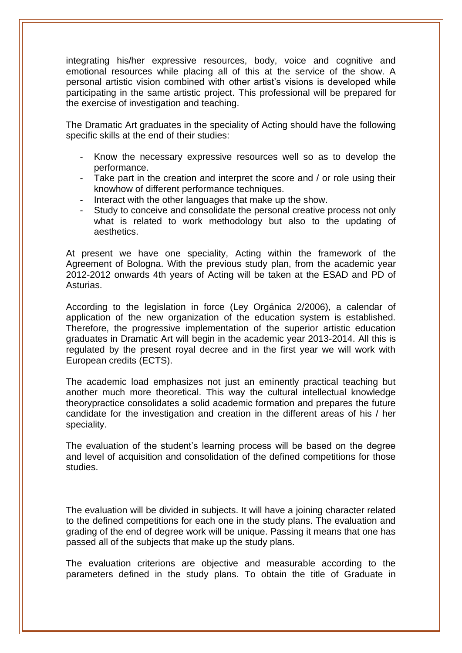integrating his/her expressive resources, body, voice and cognitive and emotional resources while placing all of this at the service of the show. A personal artistic vision combined with other artist's visions is developed while participating in the same artistic project. This professional will be prepared for the exercise of investigation and teaching.

The Dramatic Art graduates in the speciality of Acting should have the following specific skills at the end of their studies:

- Know the necessary expressive resources well so as to develop the performance.
- Take part in the creation and interpret the score and / or role using their knowhow of different performance techniques.
- Interact with the other languages that make up the show.
- Study to conceive and consolidate the personal creative process not only what is related to work methodology but also to the updating of aesthetics.

At present we have one speciality, Acting within the framework of the Agreement of Bologna. With the previous study plan, from the academic year 2012-2012 onwards 4th years of Acting will be taken at the ESAD and PD of Asturias.

According to the legislation in force (Ley Orgánica 2/2006), a calendar of application of the new organization of the education system is established. Therefore, the progressive implementation of the superior artistic education graduates in Dramatic Art will begin in the academic year 2013-2014. All this is regulated by the present royal decree and in the first year we will work with European credits (ECTS).

The academic load emphasizes not just an eminently practical teaching but another much more theoretical. This way the cultural intellectual knowledge theorypractice consolidates a solid academic formation and prepares the future candidate for the investigation and creation in the different areas of his / her speciality.

The evaluation of the student's learning process will be based on the degree and level of acquisition and consolidation of the defined competitions for those studies.

The evaluation will be divided in subjects. It will have a joining character related to the defined competitions for each one in the study plans. The evaluation and grading of the end of degree work will be unique. Passing it means that one has passed all of the subjects that make up the study plans.

The evaluation criterions are objective and measurable according to the parameters defined in the study plans. To obtain the title of Graduate in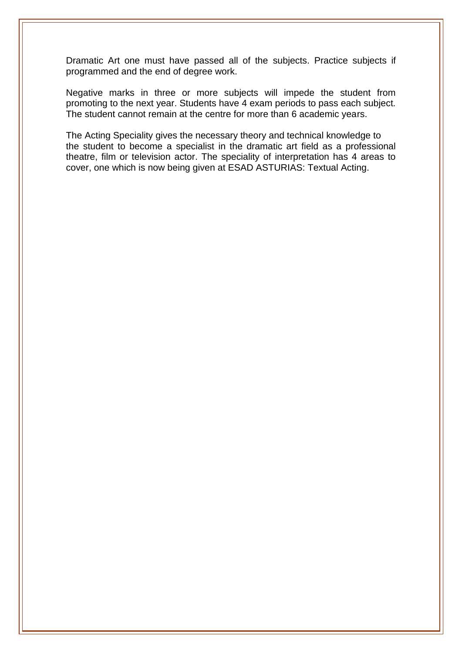Dramatic Art one must have passed all of the subjects. Practice subjects if programmed and the end of degree work.

Negative marks in three or more subjects will impede the student from promoting to the next year. Students have 4 exam periods to pass each subject. The student cannot remain at the centre for more than 6 academic years.

The Acting Speciality gives the necessary theory and technical knowledge to the student to become a specialist in the dramatic art field as a professional theatre, film or television actor. The speciality of interpretation has 4 areas to cover, one which is now being given at ESAD ASTURIAS: Textual Acting.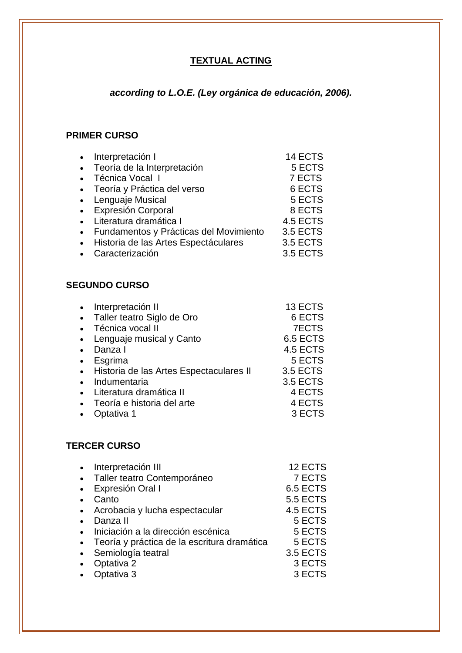## **TEXTUAL ACTING**

## *according to L.O.E. (Ley orgánica de educación, 2006).*

## **PRIMER CURSO**

|           | Interpretación I                       | 14 ECTS         |
|-----------|----------------------------------------|-----------------|
| $\bullet$ | Teoría de la Interpretación            | 5 ECTS          |
|           | Técnica Vocal I                        | 7 ECTS          |
|           | • Teoría y Práctica del verso          | 6 ECTS          |
|           | • Lenguaje Musical                     | 5 ECTS          |
|           | • Expresión Corporal                   | 8 ECTS          |
|           | Literatura dramática I                 | 4.5 ECTS        |
|           | Fundamentos y Prácticas del Movimiento | <b>3.5 ECTS</b> |
|           | Historia de las Artes Espectáculares   | <b>3.5 ECTS</b> |
|           | Caracterización                        | <b>3.5 ECTS</b> |
|           |                                        |                 |

#### **SEGUNDO CURSO**

|           | Interpretación II                       | 13 ECTS         |
|-----------|-----------------------------------------|-----------------|
| $\bullet$ | Taller teatro Siglo de Oro              | 6 ECTS          |
| $\bullet$ | Técnica vocal II                        | <b>7ECTS</b>    |
| $\bullet$ | Lenguaje musical y Canto                | 6.5 ECTS        |
|           | Danza I                                 | 4.5 ECTS        |
| $\bullet$ | Esgrima                                 | 5 ECTS          |
| $\bullet$ | Historia de las Artes Espectaculares II | <b>3.5 ECTS</b> |
|           | Indumentaria                            | <b>3.5 ECTS</b> |
| $\bullet$ | Literatura dramática II                 | 4 ECTS          |
| $\bullet$ | Teoría e historia del arte              | 4 ECTS          |
|           | Optativa 1                              | 3 ECTS          |

#### **TERCER CURSO**

| Interpretación III                          | 12 ECTS         |
|---------------------------------------------|-----------------|
| Taller teatro Contemporáneo                 | 7 ECTS          |
| Expresión Oral I                            | 6.5 ECTS        |
| Canto                                       | <b>5.5 ECTS</b> |
| Acrobacia y lucha espectacular              | 4.5 ECTS        |
| Danza II                                    | 5 ECTS          |
| Iniciación a la dirección escénica          | 5 ECTS          |
| Teoría y práctica de la escritura dramática | 5 ECTS          |
| Semiología teatral                          | <b>3.5 ECTS</b> |
| Optativa 2                                  | 3 ECTS          |
| Optativa 3                                  | 3 ECTS          |
|                                             |                 |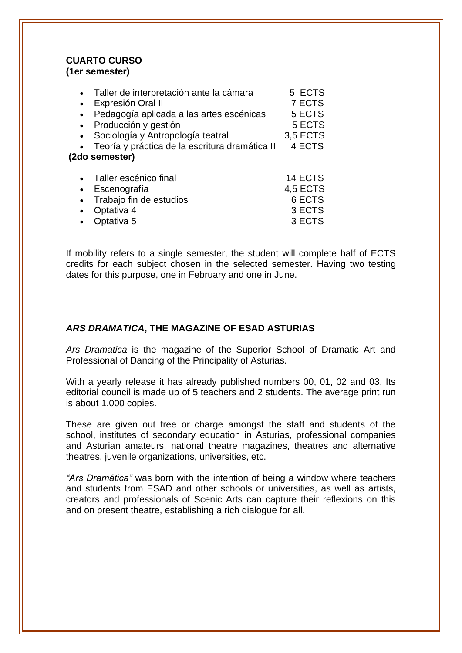#### **CUARTO CURSO (1er semester)**

|                | Taller de interpretación ante la cámara        | 5 ECTS          |  |  |  |
|----------------|------------------------------------------------|-----------------|--|--|--|
|                | Expresión Oral II                              | 7 ECTS          |  |  |  |
| $\bullet$      | Pedagogía aplicada a las artes escénicas       | 5 ECTS          |  |  |  |
|                | Producción y gestión                           | 5 ECTS          |  |  |  |
|                | Sociología y Antropología teatral              | 3,5 ECTS        |  |  |  |
|                | Teoría y práctica de la escritura dramática II | 4 ECTS          |  |  |  |
| (2do semester) |                                                |                 |  |  |  |
|                | Taller escénico final                          | 14 ECTS         |  |  |  |
|                | Escenografía                                   | <b>4,5 ECTS</b> |  |  |  |
|                | Trabajo fin de estudios                        | 6 ECTS          |  |  |  |
|                | Optativa 4                                     | 3 ECTS          |  |  |  |
|                | Optativa 5                                     | 3 ECTS          |  |  |  |

If mobility refers to a single semester, the student will complete half of ECTS credits for each subject chosen in the selected semester. Having two testing dates for this purpose, one in February and one in June.

#### *ARS DRAMATICA***, THE MAGAZINE OF ESAD ASTURIAS**

*Ars Dramatica* is the magazine of the Superior School of Dramatic Art and Professional of Dancing of the Principality of Asturias.

With a yearly release it has already published numbers 00, 01, 02 and 03. Its editorial council is made up of 5 teachers and 2 students. The average print run is about 1.000 copies.

These are given out free or charge amongst the staff and students of the school, institutes of secondary education in Asturias, professional companies and Asturian amateurs, national theatre magazines, theatres and alternative theatres, juvenile organizations, universities, etc.

*"Ars Dramática"* was born with the intention of being a window where teachers and students from ESAD and other schools or universities, as well as artists, creators and professionals of Scenic Arts can capture their reflexions on this and on present theatre, establishing a rich dialogue for all.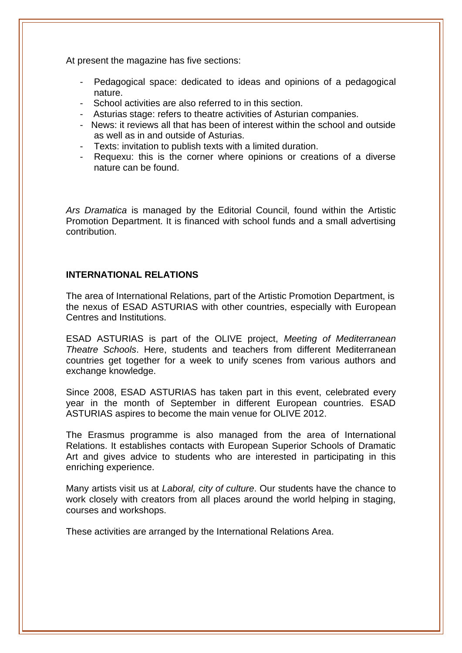At present the magazine has five sections:

- Pedagogical space: dedicated to ideas and opinions of a pedagogical nature.
- School activities are also referred to in this section.
- Asturias stage: refers to theatre activities of Asturian companies.
- News: it reviews all that has been of interest within the school and outside as well as in and outside of Asturias.
- Texts: invitation to publish texts with a limited duration.
- Requexu: this is the corner where opinions or creations of a diverse nature can be found.

*Ars Dramatica* is managed by the Editorial Council, found within the Artistic Promotion Department. It is financed with school funds and a small advertising contribution.

#### **INTERNATIONAL RELATIONS**

The area of International Relations, part of the Artistic Promotion Department, is the nexus of ESAD ASTURIAS with other countries, especially with European Centres and Institutions.

ESAD ASTURIAS is part of the OLIVE project, *Meeting of Mediterranean Theatre Schools*. Here, students and teachers from different Mediterranean countries get together for a week to unify scenes from various authors and exchange knowledge.

Since 2008, ESAD ASTURIAS has taken part in this event, celebrated every year in the month of September in different European countries. ESAD ASTURIAS aspires to become the main venue for OLIVE 2012.

The Erasmus programme is also managed from the area of International Relations. It establishes contacts with European Superior Schools of Dramatic Art and gives advice to students who are interested in participating in this enriching experience.

Many artists visit us at *Laboral, city of culture*. Our students have the chance to work closely with creators from all places around the world helping in staging, courses and workshops.

These activities are arranged by the International Relations Area.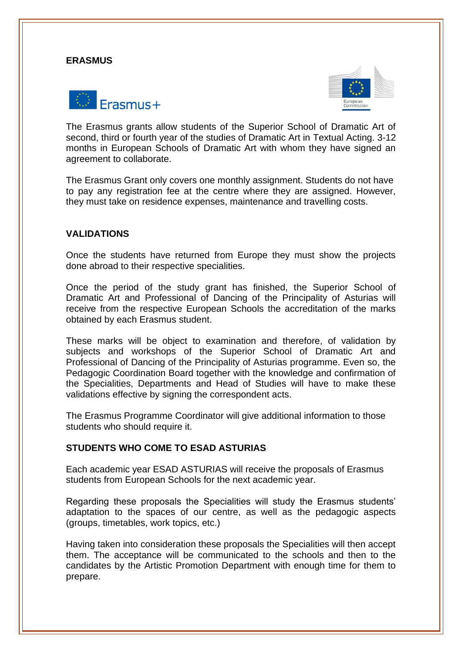#### **ERASMUS**





The Erasmus grants allow students of the Superior School of Dramatic Art of second, third or fourth year of the studies of Dramatic Art in Textual Acting. 3-12 months in European Schools of Dramatic Art with whom they have signed an agreement to collaborate.

The Erasmus Grant only covers one monthly assignment. Students do not have to pay any registration fee at the centre where they are assigned. However, they must take on residence expenses, maintenance and travelling costs.

#### **VALIDATIONS**

Once the students have returned from Europe they must show the projects done abroad to their respective specialities.

Once the period of the study grant has finished, the Superior School of Dramatic Art and Professional of Dancing of the Principality of Asturias will receive from the respective European Schools the accreditation of the marks obtained by each Erasmus student.

These marks will be object to examination and therefore, of validation by subjects and workshops of the Superior School of Dramatic Art and Professional of Dancing of the Principality of Asturias programme. Even so, the Pedagogic Coordination Board together with the knowledge and confirmation of the Specialities, Departments and Head of Studies will have to make these validations effective by signing the correspondent acts.

The Erasmus Programme Coordinator will give additional information to those students who should require it.

#### **STUDENTS WHO COME TO ESAD ASTURIAS**

Each academic year ESAD ASTURIAS will receive the proposals of Erasmus students from European Schools for the next academic year.

Regarding these proposals the Specialities will study the Erasmus students' adaptation to the spaces of our centre, as well as the pedagogic aspects (groups, timetables, work topics, etc.)

Having taken into consideration these proposals the Specialities will then accept them. The acceptance will be communicated to the schools and then to the candidates by the Artistic Promotion Department with enough time for them to prepare.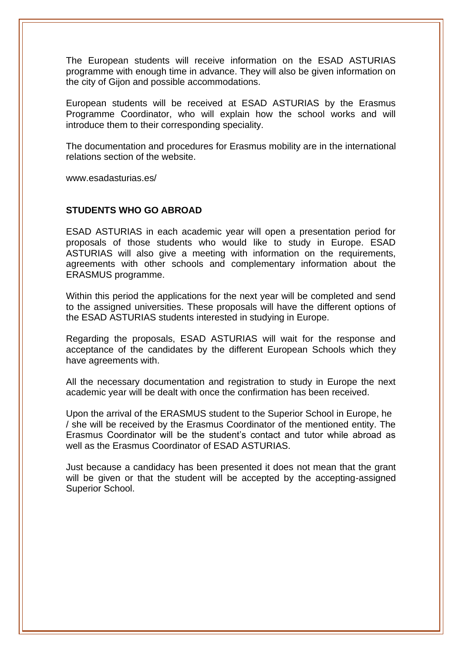The European students will receive information on the ESAD ASTURIAS programme with enough time in advance. They will also be given information on the city of Gijon and possible accommodations.

European students will be received at ESAD ASTURIAS by the Erasmus Programme Coordinator, who will explain how the school works and will introduce them to their corresponding speciality.

The documentation and procedures for Erasmus mobility are in the international relations section of the website.

www.esadasturias.es/

#### **STUDENTS WHO GO ABROAD**

ESAD ASTURIAS in each academic year will open a presentation period for proposals of those students who would like to study in Europe. ESAD ASTURIAS will also give a meeting with information on the requirements, agreements with other schools and complementary information about the ERASMUS programme.

Within this period the applications for the next year will be completed and send to the assigned universities. These proposals will have the different options of the ESAD ASTURIAS students interested in studying in Europe.

Regarding the proposals, ESAD ASTURIAS will wait for the response and acceptance of the candidates by the different European Schools which they have agreements with.

All the necessary documentation and registration to study in Europe the next academic year will be dealt with once the confirmation has been received.

Upon the arrival of the ERASMUS student to the Superior School in Europe, he / she will be received by the Erasmus Coordinator of the mentioned entity. The Erasmus Coordinator will be the student's contact and tutor while abroad as well as the Erasmus Coordinator of ESAD ASTURIAS.

Just because a candidacy has been presented it does not mean that the grant will be given or that the student will be accepted by the accepting-assigned Superior School.